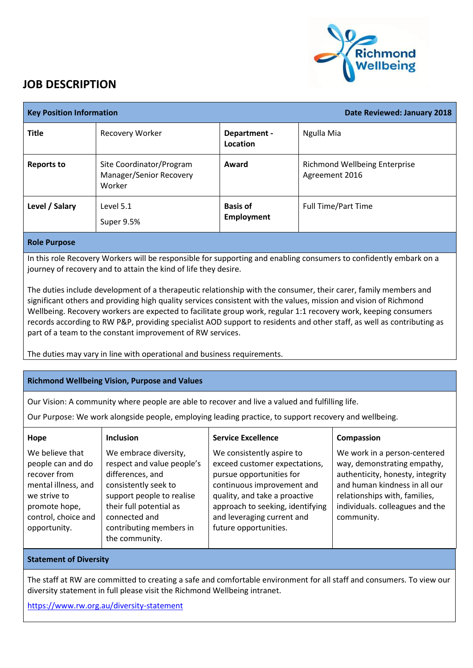

## **JOB DESCRIPTION**

| <b>Key Position Information</b> |                                                               |                                      | Date Reviewed: January 2018                     |
|---------------------------------|---------------------------------------------------------------|--------------------------------------|-------------------------------------------------|
| <b>Title</b>                    | Recovery Worker                                               | Department -<br>Location             | Ngulla Mia                                      |
| <b>Reports to</b>               | Site Coordinator/Program<br>Manager/Senior Recovery<br>Worker | Award                                | Richmond Wellbeing Enterprise<br>Agreement 2016 |
| Level / Salary                  | Level 5.1<br>Super 9.5%                                       | <b>Basis of</b><br><b>Employment</b> | <b>Full Time/Part Time</b>                      |

## **Role Purpose**

In this role Recovery Workers will be responsible for supporting and enabling consumers to confidently embark on a journey of recovery and to attain the kind of life they desire.

The duties include development of a therapeutic relationship with the consumer, their carer, family members and significant others and providing high quality services consistent with the values, mission and vision of Richmond Wellbeing. Recovery workers are expected to facilitate group work, regular 1:1 recovery work, keeping consumers records according to RW P&P, providing specialist AOD support to residents and other staff, as well as contributing as part of a team to the constant improvement of RW services.

The duties may vary in line with operational and business requirements.

## **Richmond Wellbeing Vision, Purpose and Values**

Our Vision: A community where people are able to recover and live a valued and fulfilling life.

Our Purpose: We work alongside people, employing leading practice, to support recovery and wellbeing.

| Hope                                                                                                                                                | <b>Inclusion</b>                                                                                                                                                                                                      | <b>Service Excellence</b>                                                                                                                                                                                                                        | Compassion                                                                                                                                                                                                         |
|-----------------------------------------------------------------------------------------------------------------------------------------------------|-----------------------------------------------------------------------------------------------------------------------------------------------------------------------------------------------------------------------|--------------------------------------------------------------------------------------------------------------------------------------------------------------------------------------------------------------------------------------------------|--------------------------------------------------------------------------------------------------------------------------------------------------------------------------------------------------------------------|
| We believe that<br>people can and do<br>recover from<br>mental illness, and<br>we strive to<br>promote hope,<br>control, choice and<br>opportunity. | We embrace diversity,<br>respect and value people's<br>differences, and<br>consistently seek to<br>support people to realise<br>their full potential as<br>connected and<br>contributing members in<br>the community. | We consistently aspire to<br>exceed customer expectations,<br>pursue opportunities for<br>continuous improvement and<br>quality, and take a proactive<br>approach to seeking, identifying<br>and leveraging current and<br>future opportunities. | We work in a person-centered<br>way, demonstrating empathy,<br>authenticity, honesty, integrity<br>and human kindness in all our<br>relationships with, families,<br>individuals. colleagues and the<br>community. |
|                                                                                                                                                     |                                                                                                                                                                                                                       |                                                                                                                                                                                                                                                  |                                                                                                                                                                                                                    |

## **Statement of Diversity**

The staff at RW are committed to creating a safe and comfortable environment for all staff and consumers. To view our diversity statement in full please visit the Richmond Wellbeing intranet.

<https://www.rw.org.au/diversity-statement>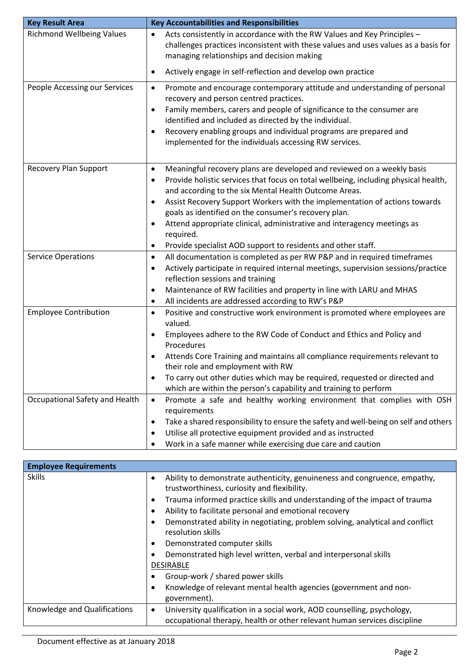| <b>Key Result Area</b>           | <b>Key Accountabilities and Responsibilities</b>                                                                                                                                                                                                                                                                                                                                                                                                                                                                                                                              |
|----------------------------------|-------------------------------------------------------------------------------------------------------------------------------------------------------------------------------------------------------------------------------------------------------------------------------------------------------------------------------------------------------------------------------------------------------------------------------------------------------------------------------------------------------------------------------------------------------------------------------|
| <b>Richmond Wellbeing Values</b> | Acts consistently in accordance with the RW Values and Key Principles -<br>$\bullet$<br>challenges practices inconsistent with these values and uses values as a basis for<br>managing relationships and decision making                                                                                                                                                                                                                                                                                                                                                      |
|                                  | Actively engage in self-reflection and develop own practice<br>$\bullet$                                                                                                                                                                                                                                                                                                                                                                                                                                                                                                      |
| People Accessing our Services    | Promote and encourage contemporary attitude and understanding of personal<br>$\bullet$<br>recovery and person centred practices.<br>Family members, carers and people of significance to the consumer are<br>$\bullet$<br>identified and included as directed by the individual.<br>Recovery enabling groups and individual programs are prepared and<br>٠<br>implemented for the individuals accessing RW services.                                                                                                                                                          |
| <b>Recovery Plan Support</b>     | Meaningful recovery plans are developed and reviewed on a weekly basis<br>$\bullet$<br>Provide holistic services that focus on total wellbeing, including physical health,<br>٠<br>and according to the six Mental Health Outcome Areas.<br>Assist Recovery Support Workers with the implementation of actions towards<br>$\bullet$<br>goals as identified on the consumer's recovery plan.<br>Attend appropriate clinical, administrative and interagency meetings as<br>$\bullet$<br>required.<br>Provide specialist AOD support to residents and other staff.<br>$\bullet$ |
| <b>Service Operations</b>        | All documentation is completed as per RW P&P and in required timeframes<br>$\bullet$<br>Actively participate in required internal meetings, supervision sessions/practice<br>$\bullet$<br>reflection sessions and training<br>Maintenance of RW facilities and property in line with LARU and MHAS<br>٠<br>All incidents are addressed according to RW's P&P<br>$\bullet$                                                                                                                                                                                                     |
| <b>Employee Contribution</b>     | Positive and constructive work environment is promoted where employees are<br>$\bullet$<br>valued.<br>Employees adhere to the RW Code of Conduct and Ethics and Policy and<br>$\bullet$<br>Procedures<br>Attends Core Training and maintains all compliance requirements relevant to<br>$\bullet$<br>their role and employment with RW<br>To carry out other duties which may be required, requested or directed and<br>which are within the person's capability and training to perform                                                                                      |
| Occupational Safety and Health   | Promote a safe and healthy working environment that complies with OSH<br>$\bullet$<br>requirements<br>Take a shared responsibility to ensure the safety and well-being on self and others<br>٠<br>Utilise all protective equipment provided and as instructed<br>٠<br>Work in a safe manner while exercising due care and caution<br>٠                                                                                                                                                                                                                                        |

| <b>Employee Requirements</b> |                                                                                                                                                                                                                                                                                                                                                                                                                                                                                                                                                                                                                                                                                          |
|------------------------------|------------------------------------------------------------------------------------------------------------------------------------------------------------------------------------------------------------------------------------------------------------------------------------------------------------------------------------------------------------------------------------------------------------------------------------------------------------------------------------------------------------------------------------------------------------------------------------------------------------------------------------------------------------------------------------------|
| <b>Skills</b>                | Ability to demonstrate authenticity, genuineness and congruence, empathy,<br>$\bullet$<br>trustworthiness, curiosity and flexibility.<br>Trauma informed practice skills and understanding of the impact of trauma<br>$\bullet$<br>Ability to facilitate personal and emotional recovery<br>$\bullet$<br>Demonstrated ability in negotiating, problem solving, analytical and conflict<br>$\bullet$<br>resolution skills<br>Demonstrated computer skills<br>$\bullet$<br>Demonstrated high level written, verbal and interpersonal skills<br>$\bullet$<br><b>DESIRABLE</b><br>Group-work / shared power skills<br>Knowledge of relevant mental health agencies (government and non-<br>٠ |
|                              | government).                                                                                                                                                                                                                                                                                                                                                                                                                                                                                                                                                                                                                                                                             |
| Knowledge and Qualifications | University qualification in a social work, AOD counselling, psychology,<br>$\bullet$<br>occupational therapy, health or other relevant human services discipline                                                                                                                                                                                                                                                                                                                                                                                                                                                                                                                         |